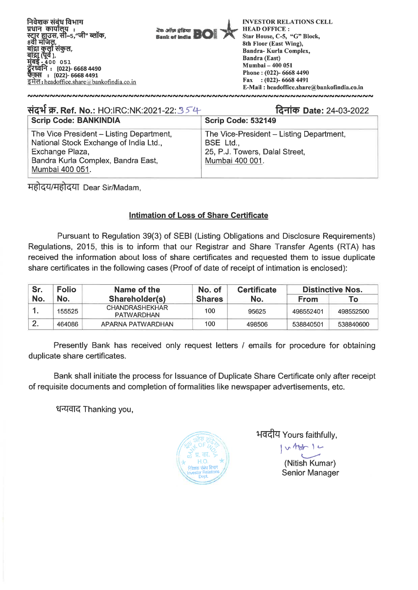

| संदर्भ क्र. Ref. No.: HO:IRC:NK:2021-22:354                                                                                                                    | दिनांक Date: 24-03-2022                                                                                    |
|----------------------------------------------------------------------------------------------------------------------------------------------------------------|------------------------------------------------------------------------------------------------------------|
| <b>Scrip Code: BANKINDIA</b>                                                                                                                                   | Scrip Code: 532149                                                                                         |
| The Vice President - Listing Department,<br>National Stock Exchange of India Ltd.,<br>Exchange Plaza,<br>Bandra Kurla Complex, Bandra East,<br>Mumbai 400 051. | The Vice-President – Listing Department,<br>BSE Ltd.,<br>25, P.J. Towers, Dalal Street,<br>Mumbai 400 001. |

**TrfttirgregtfT Dear Sir/Madam,** 

## **Intimation of Loss of Share Certificate**

**Pursuant to Regulation 39(3) of SEBI (Listing Obligations and Disclosure Requirements) Regulations, 2015, this is to inform that our Registrar and Share Transfer Agents (RTA) has received the information about loss of share certificates and requested them to issue duplicate share certificates in the following cases (Proof of date of receipt of intimation is enclosed):** 

| Sr.<br><b>Folio</b> |        | Name of the                                | No. of        | <b>Certificate</b> | <b>Distinctive Nos.</b> |           |
|---------------------|--------|--------------------------------------------|---------------|--------------------|-------------------------|-----------|
| No.                 | No.    | Shareholder(s)                             | <b>Shares</b> | No.                | <b>From</b>             | To T      |
|                     | 155525 | <b>CHANDRASHEKHAR</b><br><b>PATWARDHAN</b> | 100           | 95625              | 498552401               | 498552500 |
|                     | 464086 | APARNA PATWARDHAN                          | 100           | 498506             | 538840501               | 538840600 |

**Presently Bank has received only request letters / emails for procedure for obtaining duplicate share certificates.** 

**Bank shall initiate the process for Issuance of Duplicate Share Certificate only after receipt of requisite documents and completion of formalities like newspaper advertisements, etc.** 

धन्यवाद Thanking you,



**1-Edtur Yours faithfully,** 

**(Nitish Kumar) Senior Manager** 

 $v$  that  $1 -$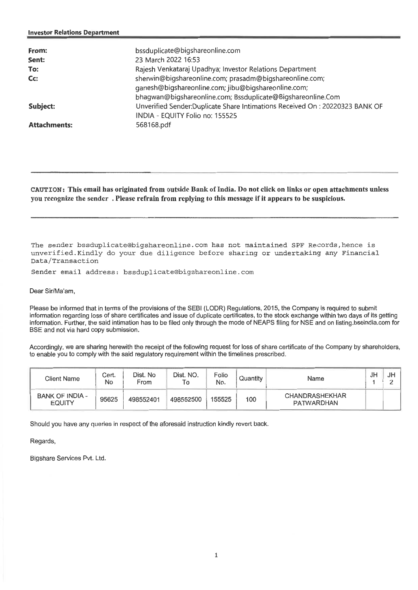| From:<br>Sent:<br>To:<br>$Cc$ :<br>Subject: | bssduplicate@bigshareonline.com<br>23 March 2022 16:53<br>Rajesh Venkataraj Upadhya; Investor Relations Department<br>sherwin@bigshareonline.com; prasadm@bigshareonline.com;<br>ganesh@bigshareonline.com; jibu@bigshareonline.com;<br>bhagwan@bigshareonline.com; Bssduplicate@Bigshareonline.Com<br>Unverified Sender: Duplicate Share Intimations Received On: 20220323 BANK OF |
|---------------------------------------------|-------------------------------------------------------------------------------------------------------------------------------------------------------------------------------------------------------------------------------------------------------------------------------------------------------------------------------------------------------------------------------------|
| <b>Attachments:</b>                         | INDIA - EQUITY Folio no: 155525<br>568168.pdf                                                                                                                                                                                                                                                                                                                                       |

**CAUTION: This email has originated from outside Bank of India. Do not click on links or open attachments unless you recognize the sender . Please refrain from replying to this message if it appears to be suspicious.** 

The sender bssduplicate@bigshareonline.com has not maintained SPF Records,hence is unverified.Kindly do your due diligence before sharing or undertaking any Financial Data/Transaction

Sender email address: bssduplicate@bigshareonline.com

Dear Sir/Ma'am,

Please be informed that in terms of the provisions of the SEBI (LODR) Regulations, 2015, the Company is required to submit information regarding loss of share certificates and issue of duplicate certificates, to the stock exchange within two days of its getting **information. Further, the said intimation has to be filed only through the mode of NEAPS filing for NSE and on listing.bseindia.comfor BSE and not** via hard copy submission.

Accordingly, we are sharing herewith the receipt of the following request for loss of share certificate of the Company by shareholders, to enable you to comply with the said regulatory requirement within the timelines prescribed.

| Client Name                             | Cert.<br>No | Dist. No<br>From | Dist. NO.<br>To | Folio<br>No. | Quantity | Name                                | JH | JF |
|-----------------------------------------|-------------|------------------|-----------------|--------------|----------|-------------------------------------|----|----|
| <b>BANK OF INDIA -</b><br><b>EQUITY</b> | 95625       | 498552401        | 498552500       | 155525       | 100      | <b>CHANDRASHEKHAR</b><br>PATWARDHAN |    |    |

Should you have any queries in respect of the aforesaid instruction kindly revert back.

Regards,

Bigshare Services Pvt. Ltd.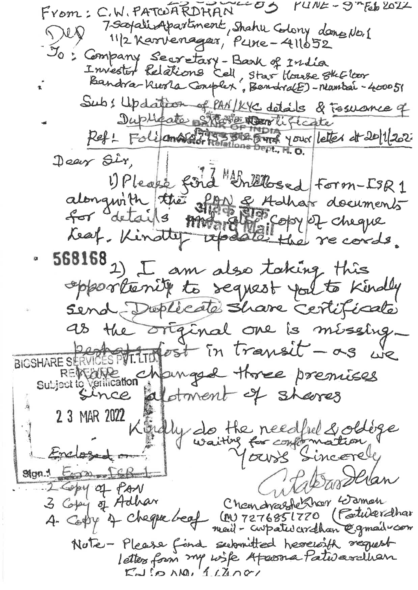$YUIVZ - 9"Fb202Z$  $-55$ From: C.W. PATCOARDHAN 7 separing partment, Shahu Colony dang No. 1  $\bigwedge$  response 11/2 Karvenager, Pune-411652 Jo: Company Secretary-Bark of India Investor Relations Cell, star House stector Sub: Updation of PAN/KYC details & Tosuance of Duplicate Starte North Lifecate Dear Sir, 2017 SIPlease ford threeses form-ISR1<br>alongwith the show of Abbay documents<br>for details model the records. 568168 2) I am also taking this opportunity to sequest you to kindly Send Doplecate Share certificate as the original one is missing-BIGSHARE SERVICES POT LTD fost in transit - as we REVENTE changed three premises 23 MAR 2022 Kindly do the needfrel & obloge Enclosed man Ston! Emmo [CR] abardlan 2 Copy of PAN<br>3 Copy of Adhar Chemonaughe Rhor Gamen (M) 7276851770 (Patulerdhar A- Copy of Cheque beaf mail - cropated cordhan @gmail com Nute-Please find submitted herewith request letters from my wife Apassa Pativarchian  $KM$   $\sim N0$ ,  $1LMv$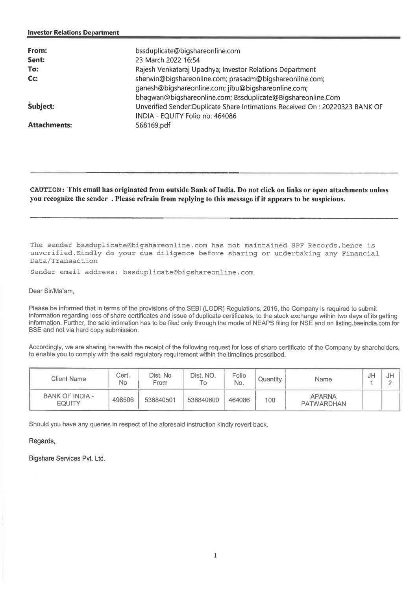| From:<br>Sent:<br>To:<br>Cc:<br>Subject: | bssduplicate@bigshareonline.com<br>23 March 2022 16:54<br>Rajesh Venkataraj Upadhya; Investor Relations Department<br>sherwin@bigshareonline.com; prasadm@bigshareonline.com;<br>ganesh@bigshareonline.com; jibu@bigshareonline.com;<br>bhaqwan@bigshareonline.com; Bssduplicate@Bigshareonline.Com<br>Unverified Sender:Duplicate Share Intimations Received On: 20220323 BANK OF<br>INDIA - EQUITY Folio no: 464086 |
|------------------------------------------|-----------------------------------------------------------------------------------------------------------------------------------------------------------------------------------------------------------------------------------------------------------------------------------------------------------------------------------------------------------------------------------------------------------------------|
| <b>Attachments:</b>                      | 568169.pdf                                                                                                                                                                                                                                                                                                                                                                                                            |

## **CAUTION: This email has originated from outside Bank of India. Do not click on links or open attachments unless you recognize the sender . Please refrain from replying to this message if it appears to be suspicious.**

The sender bssduplicate@bigshareonline.com has not maintained SPF Records,hence is unverified.Kindly do your due diligence before sharing or undertaking any Financial Data/Transaction

Sender email address: bssduplicate@bigshareonline.com

Dear Sir/Ma'am,

Please be informed that in terms of the provisions of the SEBI (LODR) Regulations, 2015, the Company is required to submit information regarding loss of share certificates and issue of duplicate certificates, to the stock exchange within two days of its getting information. Further, the said intimation has to be filed only through the mode of NEAPS filing for NSE and on listing bseindia.com for BSE and not via hard copy submission.

Accordingly, we are sharing herewith the receipt of the following request for loss of share certificate of the Company by shareholders, to enable you to comply with the said regulatory requirement within the timelines prescribed.

| Client Name                             | Cert.<br>No | Dist. No<br>From | Dist. NO.<br>۱O | Folio<br>No. | Quantity | Name                               | J⊬ | JF |
|-----------------------------------------|-------------|------------------|-----------------|--------------|----------|------------------------------------|----|----|
| <b>BANK OF INDIA -</b><br><b>EQUITY</b> | 498506      | 538840501        | 538840600       | 464086       | 100      | <b>APARNA</b><br><b>PATWARDHAN</b> |    |    |

Should you have any queries in respect of the aforesaid instruction kindly revert back.

Regards,

Bigshare Services Pvt. Ltd.